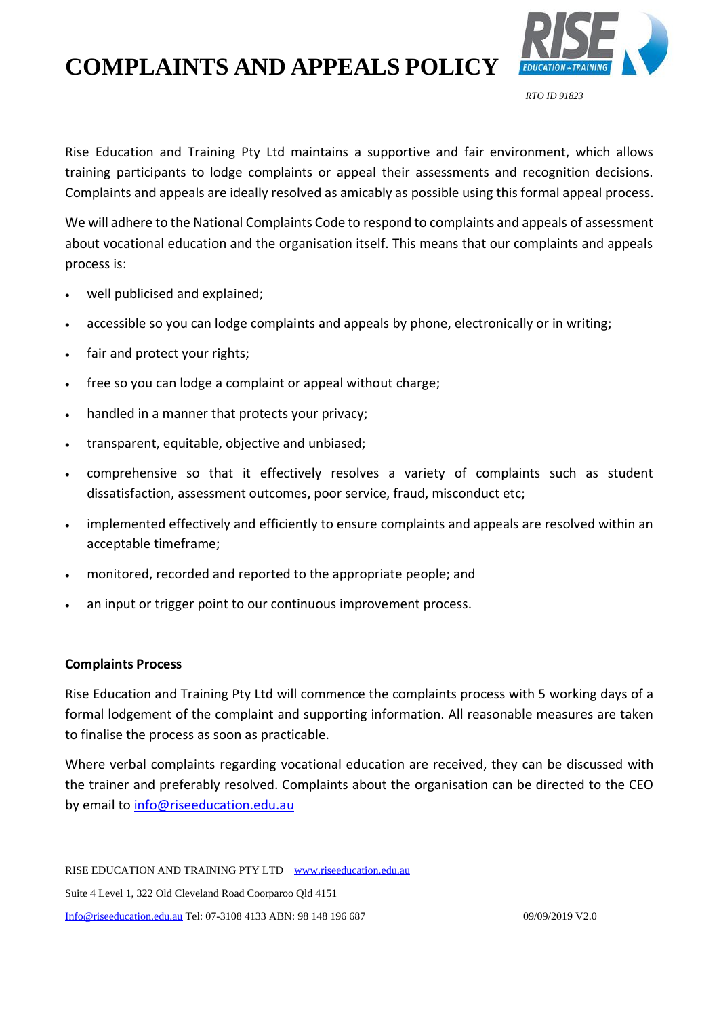## **COMPLAINTS AND APPEALS POLICY**



Rise Education and Training Pty Ltd maintains a supportive and fair environment, which allows training participants to lodge complaints or appeal their assessments and recognition decisions. Complaints and appeals are ideally resolved as amicably as possible using this formal appeal process.

We will adhere to the National Complaints Code to respond to complaints and appeals of assessment about vocational education and the organisation itself. This means that our complaints and appeals process is:

- well publicised and explained;
- accessible so you can lodge complaints and appeals by phone, electronically or in writing;
- fair and protect your rights;
- free so you can lodge a complaint or appeal without charge;
- handled in a manner that protects your privacy;
- transparent, equitable, objective and unbiased;
- comprehensive so that it effectively resolves a variety of complaints such as student dissatisfaction, assessment outcomes, poor service, fraud, misconduct etc;
- implemented effectively and efficiently to ensure complaints and appeals are resolved within an acceptable timeframe;
- monitored, recorded and reported to the appropriate people; and
- an input or trigger point to our continuous improvement process.

#### **Complaints Process**

Rise Education and Training Pty Ltd will commence the complaints process with 5 working days of a formal lodgement of the complaint and supporting information. All reasonable measures are taken to finalise the process as soon as practicable.

Where verbal complaints regarding vocational education are received, they can be discussed with the trainer and preferably resolved. Complaints about the organisation can be directed to the CEO by email to [info@riseeducation.edu.au](mailto:info@riseeducation.edu.au)

RISE EDUCATION AND TRAINING PTY LTD [www.riseeducation.edu.au](http://www.riseeducation.edu.au/)  Suite 4 Level 1, 322 Old Cleveland Road Coorparoo Qld 4151 [Info@riseeducation.edu.au](mailto:Info@riseeducation.edu.au) Tel: 07-3108 4133 ABN: 98 148 196 687 09/09/2019 V2.0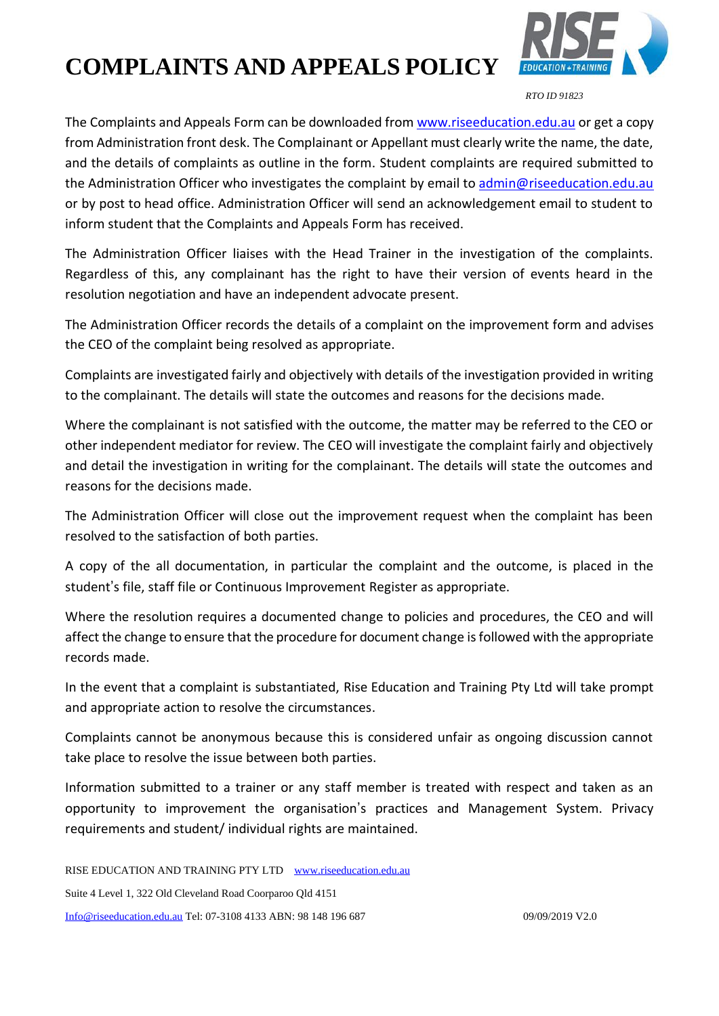## **COMPLAINTS AND APPEALS POLICY** *RTO ID 91823*



The Complaints and Appeals Form can be downloaded from [www.riseeducation.edu.au](http://www.riseeducation.edu.au/) or get a copy from Administration front desk. The Complainant or Appellant must clearly write the name, the date, and the details of complaints as outline in the form. Student complaints are required submitted to the Administration Officer who investigates the complaint by email to [admin@riseeducation.edu.au](mailto:admin@riseeducation.edu.au) or by post to head office. Administration Officer will send an acknowledgement email to student to inform student that the Complaints and Appeals Form has received.

The Administration Officer liaises with the Head Trainer in the investigation of the complaints. Regardless of this, any complainant has the right to have their version of events heard in the resolution negotiation and have an independent advocate present.

The Administration Officer records the details of a complaint on the improvement form and advises the CEO of the complaint being resolved as appropriate.

Complaints are investigated fairly and objectively with details of the investigation provided in writing to the complainant. The details will state the outcomes and reasons for the decisions made.

Where the complainant is not satisfied with the outcome, the matter may be referred to the CEO or other independent mediator for review. The CEO will investigate the complaint fairly and objectively and detail the investigation in writing for the complainant. The details will state the outcomes and reasons for the decisions made.

The Administration Officer will close out the improvement request when the complaint has been resolved to the satisfaction of both parties.

A copy of the all documentation, in particular the complaint and the outcome, is placed in the student's file, staff file or Continuous Improvement Register as appropriate.

Where the resolution requires a documented change to policies and procedures, the CEO and will affect the change to ensure that the procedure for document change is followed with the appropriate records made.

In the event that a complaint is substantiated, Rise Education and Training Pty Ltd will take prompt and appropriate action to resolve the circumstances.

Complaints cannot be anonymous because this is considered unfair as ongoing discussion cannot take place to resolve the issue between both parties.

Information submitted to a trainer or any staff member is treated with respect and taken as an opportunity to improvement the organisation's practices and Management System. Privacy requirements and student/ individual rights are maintained.

RISE EDUCATION AND TRAINING PTY LTD [www.riseeducation.edu.au](http://www.riseeducation.edu.au/)  Suite 4 Level 1, 322 Old Cleveland Road Coorparoo Qld 4151 [Info@riseeducation.edu.au](mailto:Info@riseeducation.edu.au) Tel: 07-3108 4133 ABN: 98 148 196 687 09/09/2019 V2.0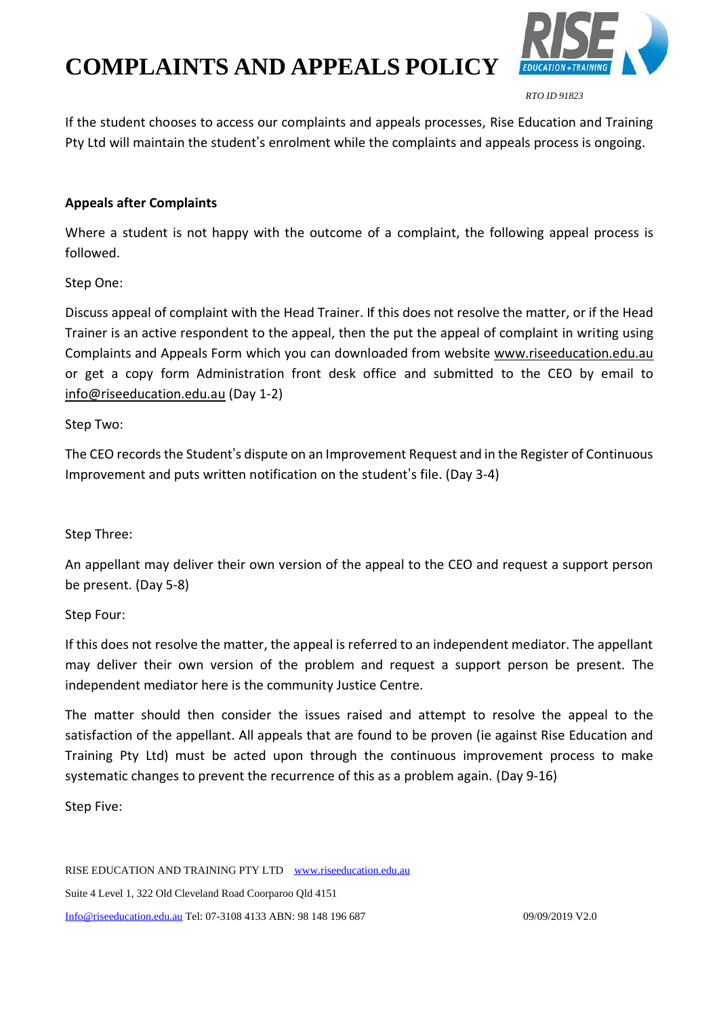# **COMPLAINTS AND APPEALS POLICY**



If the student chooses to access our complaints and appeals processes, Rise Education and Training Pty Ltd will maintain the student's enrolment while the complaints and appeals process is ongoing.

#### **Appeals after Complaints**

Where a student is not happy with the outcome of a complaint, the following appeal process is followed.

Step One:

Discuss appeal of complaint with the Head Trainer. If this does not resolve the matter, or if the Head Trainer is an active respondent to the appeal, then the put the appeal of complaint in writing using Complaints and Appeals Form which you can downloaded from website [www.riseeducation.edu.au](http://www.riseeducation.edu.au/) or get a copy form Administration front desk office and submitted to the CEO by email to [info@riseeducation.edu.au](mailto:info@riseeducation.edu.au) (Day 1-2)

Step Two:

The CEO records the Student's dispute on an Improvement Request and in the Register of Continuous Improvement and puts written notification on the student's file. (Day 3-4)

#### Step Three:

An appellant may deliver their own version of the appeal to the CEO and request a support person be present. (Day 5-8)

#### Step Four:

If this does not resolve the matter, the appeal is referred to an independent mediator. The appellant may deliver their own version of the problem and request a support person be present. The independent mediator here is the community Justice Centre.

The matter should then consider the issues raised and attempt to resolve the appeal to the satisfaction of the appellant. All appeals that are found to be proven (ie against Rise Education and Training Pty Ltd) must be acted upon through the continuous improvement process to make systematic changes to prevent the recurrence of this as a problem again. (Day 9-16)

Step Five:

RISE EDUCATION AND TRAINING PTY LTD [www.riseeducation.edu.au](http://www.riseeducation.edu.au/)  Suite 4 Level 1, 322 Old Cleveland Road Coorparoo Qld 4151 [Info@riseeducation.edu.au](mailto:Info@riseeducation.edu.au) Tel: 07-3108 4133 ABN: 98 148 196 687 09/09/2019 V2.0